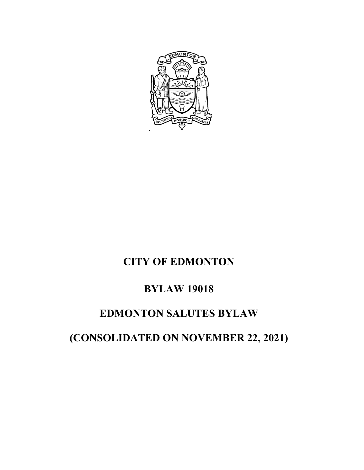

# **CITY OF EDMONTON**

## **BYLAW 19018**

## **EDMONTON SALUTES BYLAW**

**(CONSOLIDATED ON NOVEMBER 22, 2021)**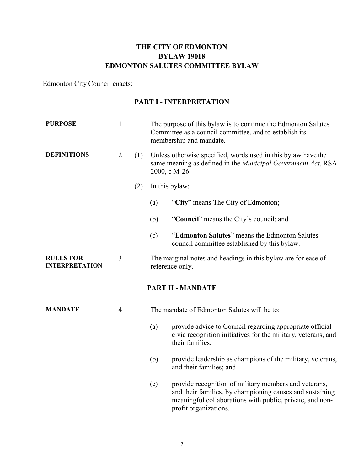### **THE CITY OF EDMONTON BYLAW 19018 EDMONTON SALUTES COMMITTEE BYLAW**

Edmonton City Council enacts:

### **PART I - INTERPRETATION**

| <b>PURPOSE</b>                            | 1              |     | The purpose of this bylaw is to continue the Edmonton Salutes<br>Committee as a council committee, and to establish its<br>membership and mandate.     |                                                                                                                                                                                                        |  |
|-------------------------------------------|----------------|-----|--------------------------------------------------------------------------------------------------------------------------------------------------------|--------------------------------------------------------------------------------------------------------------------------------------------------------------------------------------------------------|--|
| <b>DEFINITIONS</b>                        | 2              | (1) | Unless otherwise specified, words used in this bylaw have the<br>same meaning as defined in the <i>Municipal Government Act</i> , RSA<br>2000, c M-26. |                                                                                                                                                                                                        |  |
|                                           |                | (2) | In this bylaw:                                                                                                                                         |                                                                                                                                                                                                        |  |
|                                           |                |     | (a)                                                                                                                                                    | "City" means The City of Edmonton;                                                                                                                                                                     |  |
|                                           |                |     | (b)                                                                                                                                                    | "Council" means the City's council; and                                                                                                                                                                |  |
|                                           |                |     | (c)                                                                                                                                                    | "Edmonton Salutes" means the Edmonton Salutes<br>council committee established by this bylaw.                                                                                                          |  |
| <b>RULES FOR</b><br><b>INTERPRETATION</b> | 3              |     | The marginal notes and headings in this bylaw are for ease of<br>reference only.                                                                       |                                                                                                                                                                                                        |  |
|                                           |                |     |                                                                                                                                                        | <b>PART II - MANDATE</b>                                                                                                                                                                               |  |
| <b>MANDATE</b>                            | $\overline{4}$ |     | The mandate of Edmonton Salutes will be to:                                                                                                            |                                                                                                                                                                                                        |  |
|                                           |                |     | (a)                                                                                                                                                    | provide advice to Council regarding appropriate official<br>civic recognition initiatives for the military, veterans, and<br>their families;                                                           |  |
|                                           |                |     | (b)                                                                                                                                                    | provide leadership as champions of the military, veterans,<br>and their families; and                                                                                                                  |  |
|                                           |                |     | (c)                                                                                                                                                    | provide recognition of military members and veterans,<br>and their families, by championing causes and sustaining<br>meaningful collaborations with public, private, and non-<br>profit organizations. |  |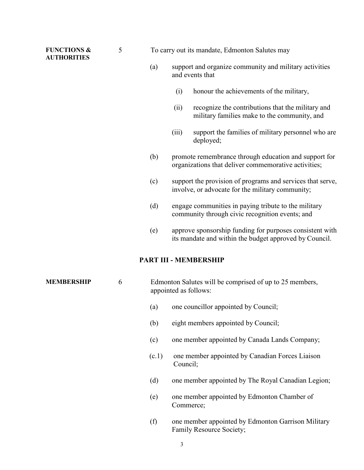#### **FUNCTIONS & AUTHORITIES**

5 To carry out its mandate, Edmonton Salutes may

- (a) support and organize community and military activities and events that
	- (i) honour the achievements of the military,
	- (ii) recognize the contributions that the military and military families make to the community, and
	- (iii) support the families of military personnel who are deployed;
- (b) promote remembrance through education and support for organizations that deliver commemorative activities;
- (c) support the provision of programs and services that serve, involve, or advocate for the military community;
- (d) engage communities in paying tribute to the military community through civic recognition events; and
- (e) approve sponsorship funding for purposes consistent with its mandate and within the budget approved by Council.

#### **PART III - MEMBERSHIP**

**MEMBERSHIP** 6 Edmonton Salutes will be comprised of up to 25 members, appointed as follows:

- (a) one councillor appointed by Council;
- (b) eight members appointed by Council;
- (c) one member appointed by Canada Lands Company;
- (c.1) one member appointed by Canadian Forces Liaison Council;
- (d) one member appointed by The Royal Canadian Legion;
- (e) one member appointed by Edmonton Chamber of Commerce;
- (f) one member appointed by Edmonton Garrison Military Family Resource Society;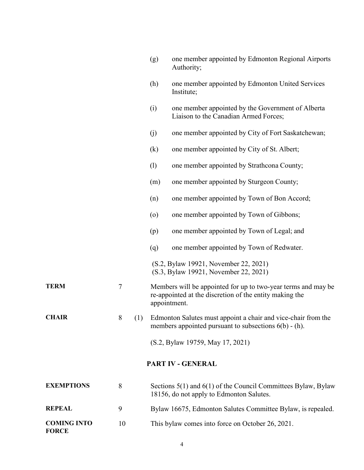|                                    |        |     | (g)                                                                                                                                      | one member appointed by Edmonton Regional Airports<br>Authority;                                          |  |  |  |
|------------------------------------|--------|-----|------------------------------------------------------------------------------------------------------------------------------------------|-----------------------------------------------------------------------------------------------------------|--|--|--|
|                                    |        |     | (h)                                                                                                                                      | one member appointed by Edmonton United Services<br>Institute;                                            |  |  |  |
|                                    |        |     | (i)                                                                                                                                      | one member appointed by the Government of Alberta<br>Liaison to the Canadian Armed Forces;                |  |  |  |
|                                    |        |     | (j)                                                                                                                                      | one member appointed by City of Fort Saskatchewan;                                                        |  |  |  |
|                                    |        |     | (k)                                                                                                                                      | one member appointed by City of St. Albert;                                                               |  |  |  |
|                                    |        |     | (1)                                                                                                                                      | one member appointed by Strathcona County;                                                                |  |  |  |
|                                    |        |     | (m)                                                                                                                                      | one member appointed by Sturgeon County;                                                                  |  |  |  |
|                                    |        |     | (n)                                                                                                                                      | one member appointed by Town of Bon Accord;                                                               |  |  |  |
|                                    |        |     | $\circ$                                                                                                                                  | one member appointed by Town of Gibbons;                                                                  |  |  |  |
|                                    |        |     | (p)                                                                                                                                      | one member appointed by Town of Legal; and                                                                |  |  |  |
|                                    |        |     | (q)                                                                                                                                      | one member appointed by Town of Redwater.                                                                 |  |  |  |
|                                    |        |     |                                                                                                                                          | (S.2, Bylaw 19921, November 22, 2021)<br>(S.3, Bylaw 19921, November 22, 2021)                            |  |  |  |
| <b>TERM</b>                        | $\tau$ |     | Members will be appointed for up to two-year terms and may be<br>re-appointed at the discretion of the entity making the<br>appointment. |                                                                                                           |  |  |  |
| <b>CHAIR</b>                       | 8      | (1) | Edmonton Salutes must appoint a chair and vice-chair from the<br>members appointed pursuant to subsections $6(b) - (h)$ .                |                                                                                                           |  |  |  |
|                                    |        |     |                                                                                                                                          | (S.2, Bylaw 19759, May 17, 2021)                                                                          |  |  |  |
| PART IV - GENERAL                  |        |     |                                                                                                                                          |                                                                                                           |  |  |  |
| <b>EXEMPTIONS</b>                  | 8      |     |                                                                                                                                          | Sections 5(1) and 6(1) of the Council Committees Bylaw, Bylaw<br>18156, do not apply to Edmonton Salutes. |  |  |  |
| <b>REPEAL</b>                      | 9      |     |                                                                                                                                          | Bylaw 16675, Edmonton Salutes Committee Bylaw, is repealed.                                               |  |  |  |
| <b>COMING INTO</b><br><b>FORCE</b> | 10     |     |                                                                                                                                          | This bylaw comes into force on October 26, 2021.                                                          |  |  |  |